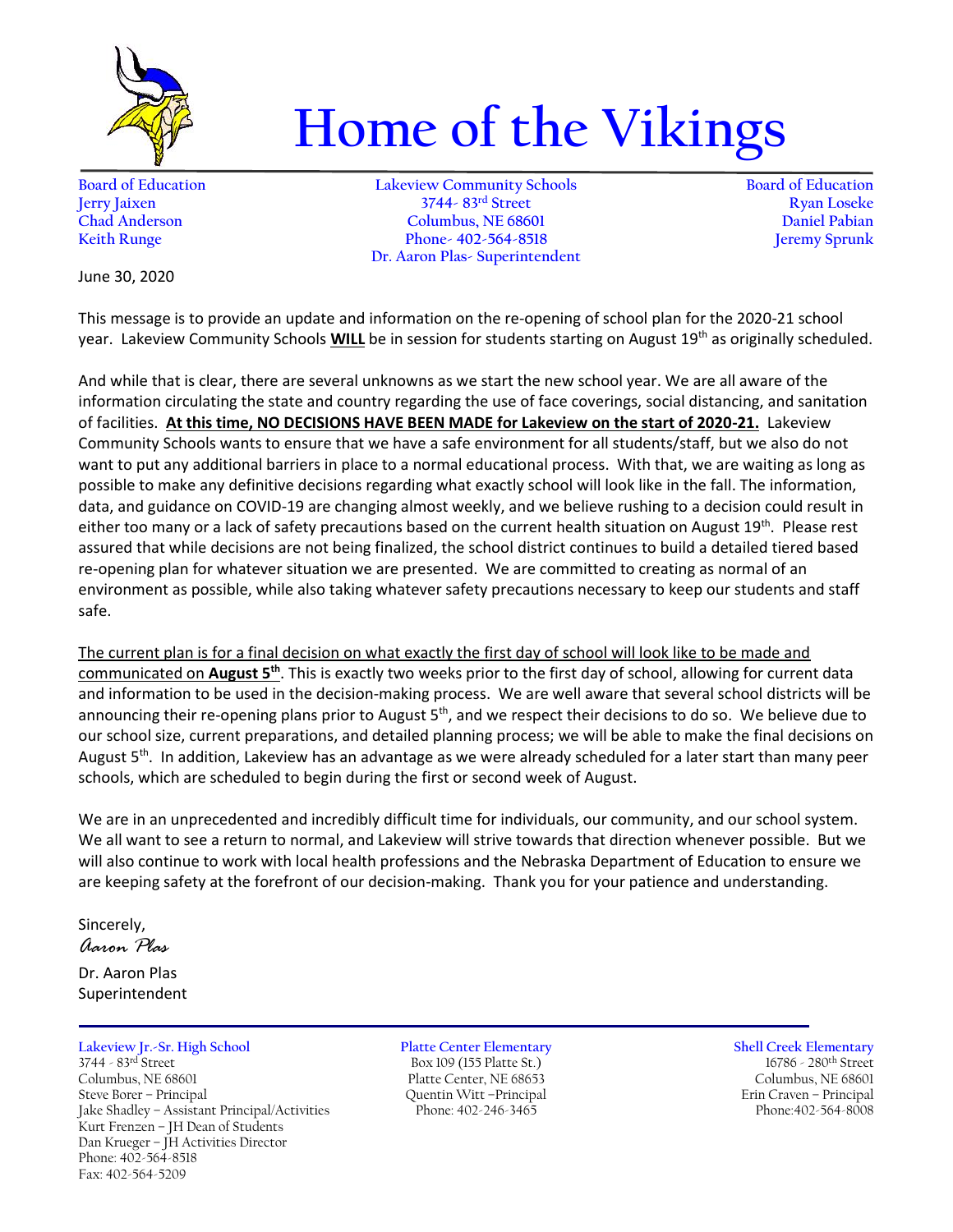

## **Home of the Vikings**

**Board of Education Lakeview Community Schools Board of Education Jerry Jaixen 3744- 83rd Street Ryan Loseke Chad Anderson Columbus, NE 68601 Daniel Pabian Keith Runge Phone- 402-564-8518 Dr. Aaron Plas- Superintendent**

June 30, 2020

This message is to provide an update and information on the re-opening of school plan for the 2020-21 school year. Lakeview Community Schools **WILL** be in session for students starting on August 19th as originally scheduled.

And while that is clear, there are several unknowns as we start the new school year. We are all aware of the information circulating the state and country regarding the use of face coverings, social distancing, and sanitation of facilities. **At this time, NO DECISIONS HAVE BEEN MADE for Lakeview on the start of 2020-21.** Lakeview Community Schools wants to ensure that we have a safe environment for all students/staff, but we also do not want to put any additional barriers in place to a normal educational process. With that, we are waiting as long as possible to make any definitive decisions regarding what exactly school will look like in the fall. The information, data, and guidance on COVID-19 are changing almost weekly, and we believe rushing to a decision could result in either too many or a lack of safety precautions based on the current health situation on August 19<sup>th</sup>. Please rest assured that while decisions are not being finalized, the school district continues to build a detailed tiered based re-opening plan for whatever situation we are presented. We are committed to creating as normal of an environment as possible, while also taking whatever safety precautions necessary to keep our students and staff safe.

The current plan is for a final decision on what exactly the first day of school will look like to be made and communicated on **August 5th**. This is exactly two weeks prior to the first day of school, allowing for current data and information to be used in the decision-making process. We are well aware that several school districts will be announcing their re-opening plans prior to August 5<sup>th</sup>, and we respect their decisions to do so. We believe due to our school size, current preparations, and detailed planning process; we will be able to make the final decisions on August 5<sup>th</sup>. In addition, Lakeview has an advantage as we were already scheduled for a later start than many peer schools, which are scheduled to begin during the first or second week of August.

We are in an unprecedented and incredibly difficult time for individuals, our community, and our school system. We all want to see a return to normal, and Lakeview will strive towards that direction whenever possible. But we will also continue to work with local health professions and the Nebraska Department of Education to ensure we are keeping safety at the forefront of our decision-making. Thank you for your patience and understanding.

Sincerely,

*Aaron Plas*

Dr. Aaron Plas Superintendent

## **Lakeview Jr.-Sr. High School Platte Center Elementary Shell Creek Elementary**

3744 - 83<sup>rd</sup> Street Box 109 (155 Platte St.) 16786 - 280<sup>th</sup> Street Columbus, NE 68601 Platte Center, NE 68653 Columbus, NE 68601 Jake Shadley - Assistant Principal/Activities Kurt Frenzen – JH Dean of Students Dan Krueger – JH Activities Director Phone: 402-564-8518 Fax: 402-564-5209

## Steve Borer – Principal Quentin Witt –Principal Erin Craven – Principal